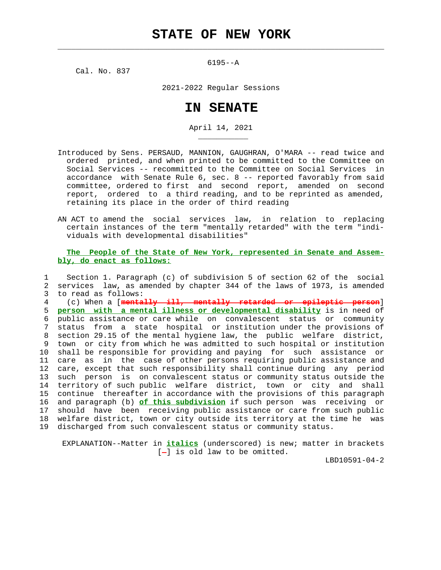$\mathcal{L}_\text{max} = \frac{1}{2} \sum_{i=1}^{n} \frac{1}{2} \sum_{i=1}^{n} \frac{1}{2} \sum_{i=1}^{n} \frac{1}{2} \sum_{i=1}^{n} \frac{1}{2} \sum_{i=1}^{n} \frac{1}{2} \sum_{i=1}^{n} \frac{1}{2} \sum_{i=1}^{n} \frac{1}{2} \sum_{i=1}^{n} \frac{1}{2} \sum_{i=1}^{n} \frac{1}{2} \sum_{i=1}^{n} \frac{1}{2} \sum_{i=1}^{n} \frac{1}{2} \sum_{i=1}^{n} \frac{1$ 

6195--A

Cal. No. 837

\_\_\_\_\_\_\_\_\_\_\_

2021-2022 Regular Sessions

## **IN SENATE**

April 14, 2021

- Introduced by Sens. PERSAUD, MANNION, GAUGHRAN, O'MARA -- read twice and ordered printed, and when printed to be committed to the Committee on Social Services -- recommitted to the Committee on Social Services in accordance with Senate Rule 6, sec. 8 -- reported favorably from said committee, ordered to first and second report, amended on second report, ordered to a third reading, and to be reprinted as amended, retaining its place in the order of third reading
- AN ACT to amend the social services law, in relation to replacing certain instances of the term "mentally retarded" with the term "indi viduals with developmental disabilities"

## **The People of the State of New York, represented in Senate and Assem bly, do enact as follows:**

 1 Section 1. Paragraph (c) of subdivision 5 of section 62 of the social 2 services law, as amended by chapter 344 of the laws of 1973, is amended 3 to read as follows:

 4 (c) When a [**mentally ill, mentally retarded or epileptic person**] 5 **person with a mental illness or developmental disability** is in need of 6 public assistance or care while on convalescent status or community 7 status from a state hospital or institution under the provisions of 8 section 29.15 of the mental hygiene law, the public welfare district, 9 town or city from which he was admitted to such hospital or institution 10 shall be responsible for providing and paying for such assistance or 11 care as in the case of other persons requiring public assistance and 12 care, except that such responsibility shall continue during any period 13 such person is on convalescent status or community status outside the 14 territory of such public welfare district, town or city and shall 15 continue thereafter in accordance with the provisions of this paragraph 16 and paragraph (b) **of this subdivision** if such person was receiving or 17 should have been receiving public assistance or care from such public 18 welfare district, town or city outside its territory at the time he was 19 discharged from such convalescent status or community status.

 EXPLANATION--Matter in **italics** (underscored) is new; matter in brackets  $[-]$  is old law to be omitted.

LBD10591-04-2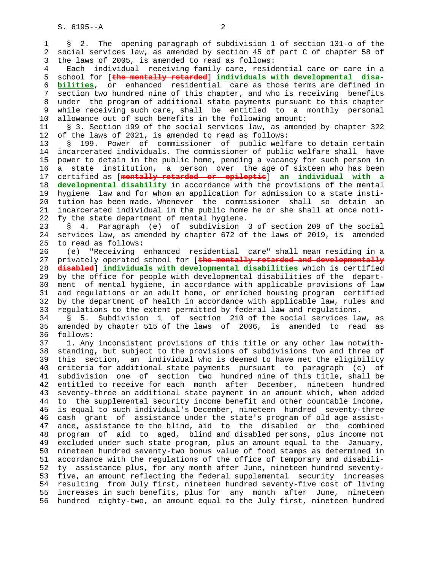1 § 2. The opening paragraph of subdivision 1 of section 131-o of the 2 social services law, as amended by section 45 of part C of chapter 58 of 3 the laws of 2005, is amended to read as follows:

 4 Each individual receiving family care, residential care or care in a 5 school for [**the mentally retarded**] **individuals with developmental disa-** 6 **bilities**, or enhanced residential care as those terms are defined in 7 section two hundred nine of this chapter, and who is receiving benefits 8 under the program of additional state payments pursuant to this chapter 9 while receiving such care, shall be entitled to a monthly personal 10 allowance out of such benefits in the following amount:

 11 § 3. Section 199 of the social services law, as amended by chapter 322 12 of the laws of 2021, is amended to read as follows:

 13 § 199. Power of commissioner of public welfare to detain certain 14 incarcerated individuals. The commissioner of public welfare shall have 15 power to detain in the public home, pending a vacancy for such person in 16 a state institution, a person over the age of sixteen who has been 17 certified as [**mentally retarded or epileptic**] **an individual with a** 18 **developmental disability** in accordance with the provisions of the mental 19 hygiene law and for whom an application for admission to a state insti- 20 tution has been made. Whenever the commissioner shall so detain an 21 incarcerated individual in the public home he or she shall at once noti- 22 fy the state department of mental hygiene.

 23 § 4. Paragraph (e) of subdivision 3 of section 209 of the social 24 services law, as amended by chapter 672 of the laws of 2019, is amended 25 to read as follows:

 26 (e) "Receiving enhanced residential care" shall mean residing in a 27 privately operated school for [**the mentally retarded and developmentally** 28 **disabled**] **individuals with developmental disabilities** which is certified 29 by the office for people with developmental disabilities of the depart- 30 ment of mental hygiene, in accordance with applicable provisions of law 31 and regulations or an adult home, or enriched housing program certified 32 by the department of health in accordance with applicable law, rules and 33 regulations to the extent permitted by federal law and regulations.

 34 § 5. Subdivision 1 of section 210 of the social services law, as 35 amended by chapter 515 of the laws of 2006, is amended to read as 36 follows:

 37 1. Any inconsistent provisions of this title or any other law notwith- 38 standing, but subject to the provisions of subdivisions two and three of 39 this section, an individual who is deemed to have met the eligibility 40 criteria for additional state payments pursuant to paragraph (c) of 41 subdivision one of section two hundred nine of this title, shall be 42 entitled to receive for each month after December, nineteen hundred 43 seventy-three an additional state payment in an amount which, when added 44 to the supplemental security income benefit and other countable income, 45 is equal to such individual's December, nineteen hundred seventy-three 46 cash grant of assistance under the state's program of old age assist- 47 ance, assistance to the blind, aid to the disabled or the combined 48 program of aid to aged, blind and disabled persons, plus income not 49 excluded under such state program, plus an amount equal to the January, 50 nineteen hundred seventy-two bonus value of food stamps as determined in 51 accordance with the regulations of the office of temporary and disabili- 52 ty assistance plus, for any month after June, nineteen hundred seventy- 53 five, an amount reflecting the federal supplemental security increases 54 resulting from July first, nineteen hundred seventy-five cost of living 55 increases in such benefits, plus for any month after June, nineteen 56 hundred eighty-two, an amount equal to the July first, nineteen hundred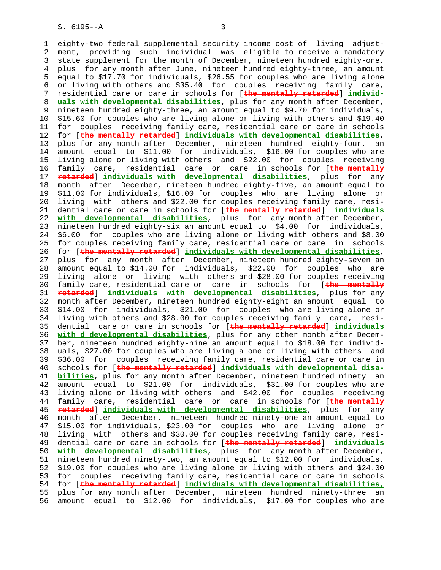1 eighty-two federal supplemental security income cost of living adjust- 2 ment, providing such individual was eligible to receive a mandatory 3 state supplement for the month of December, nineteen hundred eighty-one, 4 plus for any month after June, nineteen hundred eighty-three, an amount 5 equal to \$17.70 for individuals, \$26.55 for couples who are living alone 6 or living with others and \$35.40 for couples receiving family care, 7 residential care or care in schools for [**the mentally retarded**] **individ-** 8 **uals with developmental disabilities**, plus for any month after December, 9 nineteen hundred eighty-three, an amount equal to \$9.70 for individuals,<br>10 \$15.60 for couples who are living alone or living with others and \$19.40 10 \$15.60 for couples who are living alone or living with others and \$19.40 11 for couples receiving family care, residential care or care in schools 12 for [**the mentally retarded**] **individuals with developmental disabilities**, 13 plus for any month after December, nineteen hundred eighty-four, an 14 amount equal to \$11.00 for individuals, \$16.00 for couples who are 15 living alone or living with others and \$22.00 for couples receiving 16 family care, residential care or care in schools for [**the mentally** 17 **retarded**] **individuals with developmental disabilities**, plus for any 18 month after December, nineteen hundred eighty-five, an amount equal to 19 \$11.00 for individuals, \$16.00 for couples who are living alone or 20 living with others and \$22.00 for couples receiving family care, resi- 21 dential care or care in schools for [**the mentally retarded**] **individuals** 22 **with developmental disabilities**, plus for any month after December, 23 nineteen hundred eighty-six an amount equal to \$4.00 for individuals, 24 \$6.00 for couples who are living alone or living with others and \$8.00 25 for couples receiving family care, residential care or care in schools 26 for [**the mentally retarded**] **individuals with developmental disabilities**, 27 plus for any month after December, nineteen hundred eighty-seven an 28 amount equal to \$14.00 for individuals, \$22.00 for couples who are 29 living alone or living with others and \$28.00 for couples receiving 30 family care, residential care or care in schools for [**the mentally** 31 **retarded**] **individuals with developmental disabilities**, plus for any 32 month after December, nineteen hundred eighty-eight an amount equal to 33 \$14.00 for individuals, \$21.00 for couples who are living alone or 34 living with others and \$28.00 for couples receiving family care, resi- 35 dential care or care in schools for [**the mentally retarded**] **individuals** 36 **with d developmental disabilities**, plus for any other month after Decem- 37 ber, nineteen hundred eighty-nine an amount equal to \$18.00 for individ- 38 uals, \$27.00 for couples who are living alone or living with others and 39 \$36.00 for couples receiving family care, residential care or care in 40 schools for [**the mentally retarded**] **individuals with developmental disa-** 41 **bilities**, plus for any month after December, nineteen hundred ninety an 42 amount equal to \$21.00 for individuals, \$31.00 for couples who are 43 living alone or living with others and \$42.00 for couples receiving 44 family care, residential care or care in schools for [**the mentally** 45 **retarded**] **individuals with developmental disabilities**, plus for any 46 month after December, nineteen hundred ninety-one an amount equal to 47 \$15.00 for individuals, \$23.00 for couples who are living alone or 48 living with others and \$30.00 for couples receiving family care, resi- 49 dential care or care in schools for [**the mentally retarded**] **individuals** 50 **with developmental disabilities**, plus for any month after December, 51 nineteen hundred ninety-two, an amount equal to \$12.00 for individuals, 52 \$19.00 for couples who are living alone or living with others and \$24.00 53 for couples receiving family care, residential care or care in schools 54 for [**the mentally retarded**] **individuals with developmental disabilities,** 55 plus for any month after December, nineteen hundred ninety-three an 56 amount equal to \$12.00 for individuals, \$17.00 for couples who are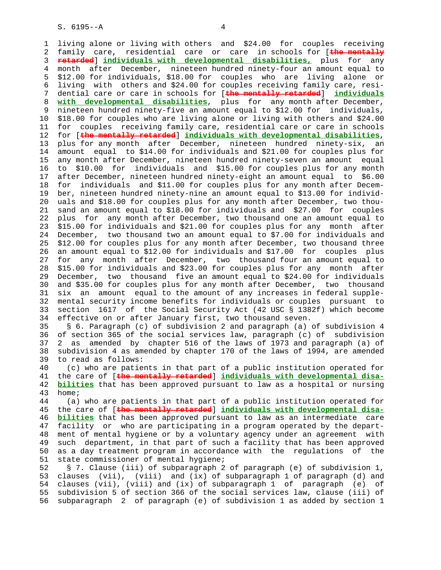S. 6195--A 4

 1 living alone or living with others and \$24.00 for couples receiving 2 family care, residential care or care in schools for [**the mentally** 3 **retarded**] **individuals with developmental disabilities,** plus for any 4 month after December, nineteen hundred ninety-four an amount equal to 5 \$12.00 for individuals, \$18.00 for couples who are living alone or 6 living with others and \$24.00 for couples receiving family care, resi- 7 dential care or care in schools for [**the mentally retarded**] **individuals** 8 **with developmental disabilities**, plus for any month after December, 9 nineteen hundred ninety-five an amount equal to \$12.00 for individuals,<br>10 \$18.00 for couples who are living alone or living with others and \$24.00 10 \$18.00 for couples who are living alone or living with others and \$24.00 11 for couples receiving family care, residential care or care in schools 12 for [**the mentally retarded**] **individuals with developmental disabilities**, 13 plus for any month after December, nineteen hundred ninety-six, an 14 amount equal to \$14.00 for individuals and \$21.00 for couples plus for 15 any month after December, nineteen hundred ninety-seven an amount equal 16 to \$10.00 for individuals and \$15.00 for couples plus for any month 17 after December, nineteen hundred ninety-eight an amount equal to \$6.00 18 for individuals and \$11.00 for couples plus for any month after Decem- 19 ber, nineteen hundred ninety-nine an amount equal to \$13.00 for individ- 20 uals and \$18.00 for couples plus for any month after December, two thou- 21 sand an amount equal to \$18.00 for individuals and \$27.00 for couples 22 plus for any month after December, two thousand one an amount equal to 23 \$15.00 for individuals and \$21.00 for couples plus for any month after 24 December, two thousand two an amount equal to \$7.00 for individuals and 25 \$12.00 for couples plus for any month after December, two thousand three 26 an amount equal to \$12.00 for individuals and \$17.00 for couples plus 27 for any month after December, two thousand four an amount equal to 28 \$15.00 for individuals and \$23.00 for couples plus for any month after 29 December, two thousand five an amount equal to \$24.00 for individuals 30 and \$35.00 for couples plus for any month after December, two thousand 31 six an amount equal to the amount of any increases in federal supple- 32 mental security income benefits for individuals or couples pursuant to 33 section 1617 of the Social Security Act (42 USC § 1382f) which become 34 effective on or after January first, two thousand seven. 35 § 6. Paragraph (c) of subdivision 2 and paragraph (a) of subdivision 4 36 of section 365 of the social services law, paragraph (c) of subdivision 37 2 as amended by chapter 516 of the laws of 1973 and paragraph (a) of 38 subdivision 4 as amended by chapter 170 of the laws of 1994, are amended 39 to read as follows: 40 (c) who are patients in that part of a public institution operated for 41 the care of [**the mentally retarded**] **individuals with developmental disa-** 42 **bilities** that has been approved pursuant to law as a hospital or nursing 43 home; 44 (a) who are patients in that part of a public institution operated for 45 the care of [**the mentally retarded**] **individuals with developmental disa-** 46 **bilities** that has been approved pursuant to law as an intermediate care 47 facility or who are participating in a program operated by the depart- 48 ment of mental hygiene or by a voluntary agency under an agreement with 49 such department, in that part of such a facility that has been approved 50 as a day treatment program in accordance with the regulations of the 51 state commissioner of mental hygiene; 52 § 7. Clause (iii) of subparagraph 2 of paragraph (e) of subdivision 1,

 53 clauses (vii), (viii) and (ix) of subparagraph 1 of paragraph (d) and 54 clauses (vii), (viii) and (ix) of subparagraph 1 of paragraph (e) of 55 subdivision 5 of section 366 of the social services law, clause (iii) of 56 subparagraph 2 of paragraph (e) of subdivision 1 as added by section 1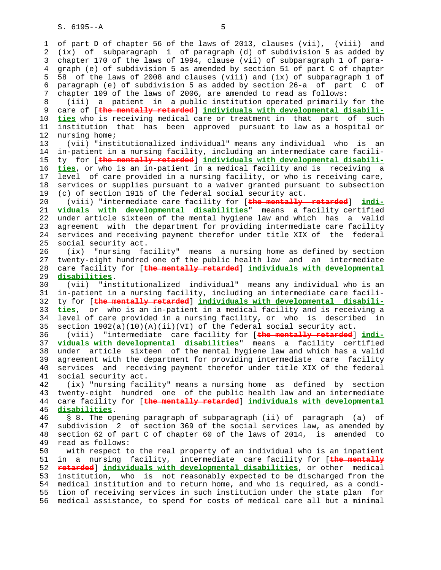1 of part D of chapter 56 of the laws of 2013, clauses (vii), (viii) and 2 (ix) of subparagraph 1 of paragraph (d) of subdivision 5 as added by 3 chapter 170 of the laws of 1994, clause (vii) of subparagraph 1 of para- 4 graph (e) of subdivision 5 as amended by section 51 of part C of chapter 5 58 of the laws of 2008 and clauses (viii) and (ix) of subparagraph 1 of 6 paragraph (e) of subdivision 5 as added by section 26-a of part C of 7 chapter 109 of the laws of 2006, are amended to read as follows: 8 (iii) a patient in a public institution operated primarily for the 9 care of [**the mentally retarded**] **individuals with developmental disabili-** 10 **ties** who is receiving medical care or treatment in that part of such 11 institution that has been approved pursuant to law as a hospital or 12 nursing home; 13 (vii) "institutionalized individual" means any individual who is an 14 in-patient in a nursing facility, including an intermediate care facili- 15 ty for [**the mentally retarded**] **individuals with developmental disabili-** 16 **ties**, or who is an in-patient in a medical facility and is receiving a 17 level of care provided in a nursing facility, or who is receiving care, 18 services or supplies pursuant to a waiver granted pursuant to subsection 19 (c) of section 1915 of the federal social security act. 20 (viii) "intermediate care facility for [**the mentally retarded**] **indi-** 21 **viduals with developmental disabilities**" means a facility certified 22 under article sixteen of the mental hygiene law and which has a valid 23 agreement with the department for providing intermediate care facility 24 services and receiving payment therefor under title XIX of the federal 25 social security act. 26 (ix) "nursing facility" means a nursing home as defined by section 27 twenty-eight hundred one of the public health law and an intermediate 28 care facility for [**the mentally retarded**] **individuals with developmental** 29 **disabilities**. 30 (vii) "institutionalized individual" means any individual who is an 31 in-patient in a nursing facility, including an intermediate care facili- 32 ty for [**the mentally retarded**] **individuals with developmental disabili-** 33 **ties**, or who is an in-patient in a medical facility and is receiving a 34 level of care provided in a nursing facility, or who is described in 35 section  $1902(a)(10)(A)(ii)(VI)$  of the federal social security act. 36 (viii) "intermediate care facility for [**the mentally retarded**] **indi-** 37 **viduals with developmental disabilities**" means a facility certified 38 under article sixteen of the mental hygiene law and which has a valid 39 agreement with the department for providing intermediate care facility 40 services and receiving payment therefor under title XIX of the federal 41 social security act. 42 (ix) "nursing facility" means a nursing home as defined by section 43 twenty-eight hundred one of the public health law and an intermediate 44 care facility for [**the mentally retarded**] **individuals with developmental** 45 **disabilities**. 46 § 8. The opening paragraph of subparagraph (ii) of paragraph (a) of 47 subdivision 2 of section 369 of the social services law, as amended by 48 section 62 of part C of chapter 60 of the laws of 2014, is amended to 49 read as follows: 50 with respect to the real property of an individual who is an inpatient 51 in a nursing facility, intermediate care facility for [**the mentally** 52 **retarded**] **individuals with developmental disabilities**, or other medical 53 institution, who is not reasonably expected to be discharged from the 54 medical institution and to return home, and who is required, as a condi- 55 tion of receiving services in such institution under the state plan for 56 medical assistance, to spend for costs of medical care all but a minimal